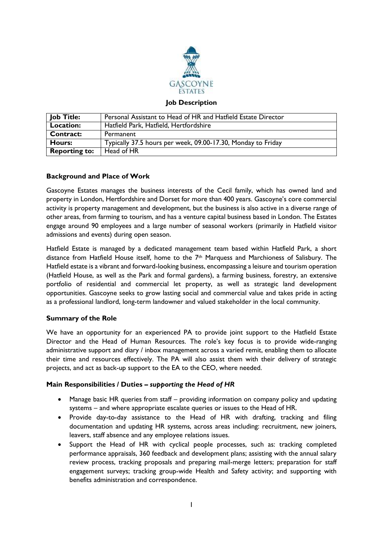

#### **Job Description**

| <b>Job Title:</b>    | Personal Assistant to Head of HR and Hatfield Estate Director |
|----------------------|---------------------------------------------------------------|
| Location:            | Hatfield Park, Hatfield, Hertfordshire                        |
| <b>Contract:</b>     | Permanent                                                     |
| <b>Hours:</b>        | Typically 37.5 hours per week, 09.00-17.30, Monday to Friday  |
| <b>Reporting to:</b> | Head of HR                                                    |

### **Background and Place of Work**

Gascoyne Estates manages the business interests of the Cecil family, which has owned land and property in London, Hertfordshire and Dorset for more than 400 years. Gascoyne's core commercial activity is property management and development, but the business is also active in a diverse range of other areas, from farming to tourism, and has a venture capital business based in London. The Estates engage around 90 employees and a large number of seasonal workers (primarily in Hatfield visitor admissions and events) during open season.

Hatfield Estate is managed by a dedicated management team based within Hatfield Park, a short distance from Hatfield House itself, home to the 7th Marquess and Marchioness of Salisbury. The Hatfield estate is a vibrant and forward-looking business, encompassing a leisure and tourism operation (Hatfield House, as well as the Park and formal gardens), a farming business, forestry, an extensive portfolio of residential and commercial let property, as well as strategic land development opportunities. Gascoyne seeks to grow lasting social and commercial value and takes pride in acting as a professional landlord, long-term landowner and valued stakeholder in the local community.

#### **Summary of the Role**

We have an opportunity for an experienced PA to provide joint support to the Hatfield Estate Director and the Head of Human Resources. The role's key focus is to provide wide-ranging administrative support and diary / inbox management across a varied remit, enabling them to allocate their time and resources effectively. The PA will also assist them with their delivery of strategic projects, and act as back-up support to the EA to the CEO, where needed.

#### **Main Responsibilities / Duties –** *supporting the Head of HR*

- Manage basic HR queries from staff providing information on company policy and updating systems – and where appropriate escalate queries or issues to the Head of HR.
- Provide day-to-day assistance to the Head of HR with drafting, tracking and filing documentation and updating HR systems, across areas including: recruitment, new joiners, leavers, staff absence and any employee relations issues.
- Support the Head of HR with cyclical people processes, such as: tracking completed performance appraisals, 360 feedback and development plans; assisting with the annual salary review process, tracking proposals and preparing mail-merge letters; preparation for staff engagement surveys; tracking group-wide Health and Safety activity; and supporting with benefits administration and correspondence.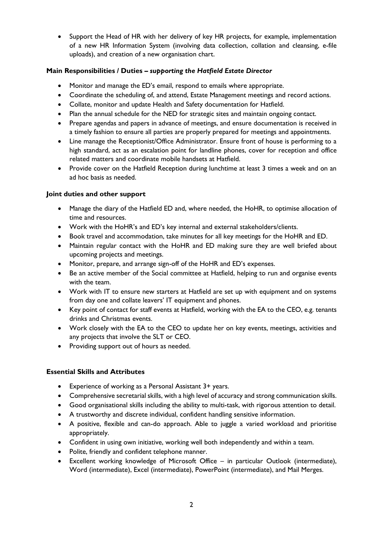• Support the Head of HR with her delivery of key HR projects, for example, implementation of a new HR Information System (involving data collection, collation and cleansing, e-file uploads), and creation of a new organisation chart.

# **Main Responsibilities / Duties –** *supporting the Hatfield Estate Director*

- Monitor and manage the ED's email, respond to emails where appropriate.
- Coordinate the scheduling of, and attend, Estate Management meetings and record actions.
- Collate, monitor and update Health and Safety documentation for Hatfield.
- Plan the annual schedule for the NED for strategic sites and maintain ongoing contact.
- Prepare agendas and papers in advance of meetings, and ensure documentation is received in a timely fashion to ensure all parties are properly prepared for meetings and appointments.
- Line manage the Receptionist/Office Administrator. Ensure front of house is performing to a high standard, act as an escalation point for landline phones, cover for reception and office related matters and coordinate mobile handsets at Hatfield.
- Provide cover on the Hatfield Reception during lunchtime at least 3 times a week and on an ad hoc basis as needed.

## **Joint duties and other support**

- Manage the diary of the Hatfield ED and, where needed, the HoHR, to optimise allocation of time and resources.
- Work with the HoHR's and ED's key internal and external stakeholders/clients.
- Book travel and accommodation, take minutes for all key meetings for the HoHR and ED.
- Maintain regular contact with the HoHR and ED making sure they are well briefed about upcoming projects and meetings.
- Monitor, prepare, and arrange sign-off of the HoHR and ED's expenses.
- Be an active member of the Social committee at Hatfield, helping to run and organise events with the team.
- Work with IT to ensure new starters at Hatfield are set up with equipment and on systems from day one and collate leavers' IT equipment and phones.
- Key point of contact for staff events at Hatfield, working with the EA to the CEO, e.g. tenants drinks and Christmas events.
- Work closely with the EA to the CEO to update her on key events, meetings, activities and any projects that involve the SLT or CEO.
- Providing support out of hours as needed.

## **Essential Skills and Attributes**

- Experience of working as a Personal Assistant 3+ years.
- Comprehensive secretarial skills, with a high level of accuracy and strong communication skills.
- Good organisational skills including the ability to multi-task, with rigorous attention to detail.
- A trustworthy and discrete individual, confident handling sensitive information.
- A positive, flexible and can-do approach. Able to juggle a varied workload and prioritise appropriately.
- Confident in using own initiative, working well both independently and within a team.
- Polite, friendly and confident telephone manner.
- Excellent working knowledge of Microsoft Office in particular Outlook (intermediate), Word (intermediate), Excel (intermediate), PowerPoint (intermediate), and Mail Merges.